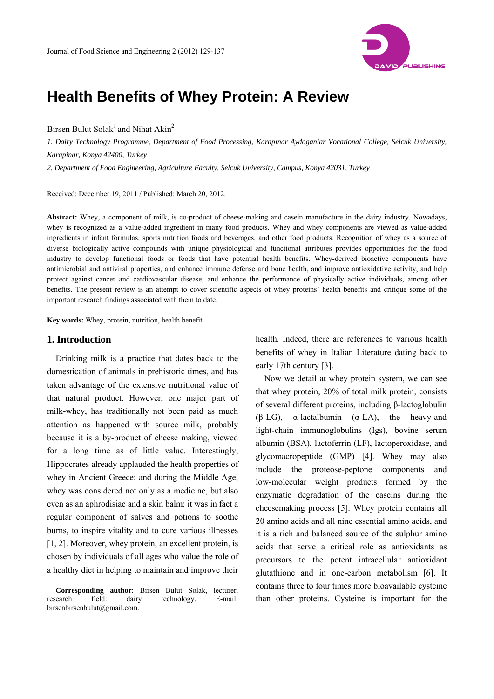

# **Health Benefits of Whey Protein: A Review**

Birsen Bulut Solak<sup>1</sup> and Nihat Akin<sup>2</sup>

*1. Dairy Technology Programme, Department of Food Processing, Karapınar Aydoganlar Vocational College, Selcuk University, Karapinar, Konya 42400, Turkey* 

*2. Department of Food Engineering, Agriculture Faculty, Selcuk University, Campus, Konya 42031, Turkey* 

Received: December 19, 2011 / Published: March 20, 2012.

**Abstract:** Whey, a component of milk, is co-product of cheese-making and casein manufacture in the dairy industry. Nowadays, whey is recognized as a value-added ingredient in many food products. Whey and whey components are viewed as value-added ingredients in infant formulas, sports nutrition foods and beverages, and other food products. Recognition of whey as a source of diverse biologically active compounds with unique physiological and functional attributes provides opportunities for the food industry to develop functional foods or foods that have potential health benefits. Whey-derived bioactive components have antimicrobial and antiviral properties, and enhance immune defense and bone health, and improve antioxidative activity, and help protect against cancer and cardiovascular disease, and enhance the performance of physically active individuals, among other benefits. The present review is an attempt to cover scientific aspects of whey proteins' health benefits and critique some of the important research findings associated with them to date.

**Key words:** Whey, protein, nutrition, health benefit.

#### **1. Introduction**

 $\overline{a}$ 

Drinking milk is a practice that dates back to the domestication of animals in prehistoric times, and has taken advantage of the extensive nutritional value of that natural product. However, one major part of milk-whey, has traditionally not been paid as much attention as happened with source milk, probably because it is a by-product of cheese making, viewed for a long time as of little value. Interestingly, Hippocrates already applauded the health properties of whey in Ancient Greece; and during the Middle Age, whey was considered not only as a medicine, but also even as an aphrodisiac and a skin balm: it was in fact a regular component of salves and potions to soothe burns, to inspire vitality and to cure various illnesses [1, 2]. Moreover, whey protein, an excellent protein, is chosen by individuals of all ages who value the role of a healthy diet in helping to maintain and improve their

health. Indeed, there are references to various health benefits of whey in Italian Literature dating back to early 17th century [3].

Now we detail at whey protein system, we can see that whey protein, 20% of total milk protein, consists of several different proteins, including β-lactoglobulin (β-LG), α-lactalbumin (α-LA), the heavy-and light-chain immunoglobulins (Igs), bovine serum albumin (BSA), lactoferrin (LF), lactoperoxidase, and glycomacropeptide (GMP) [4]. Whey may also include the proteose-peptone components and low-molecular weight products formed by the enzymatic degradation of the caseins during the cheesemaking process [5]. Whey protein contains all 20 amino acids and all nine essential amino acids, and it is a rich and balanced source of the sulphur amino acids that serve a critical role as antioxidants as precursors to the potent intracellular antioxidant glutathione and in one-carbon metabolism [6]. It contains three to four times more bioavailable cysteine than other proteins. Cysteine is important for the

**Corresponding author**: Birsen Bulut Solak, lecturer, research field: dairy technology. E-mail: birsenbirsenbulut@gmail.com.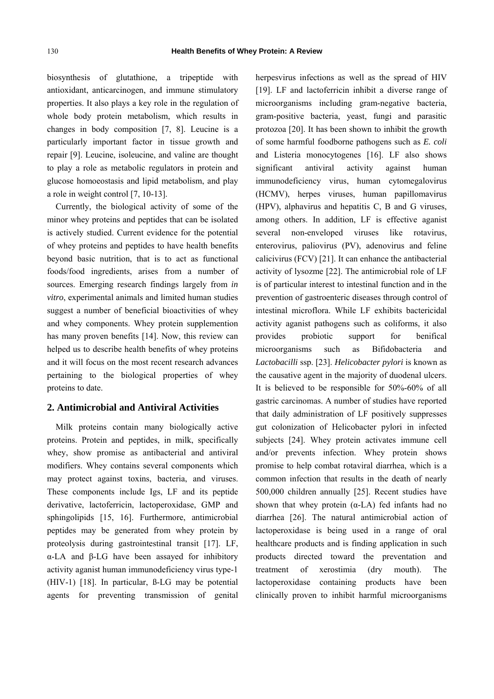biosynthesis of glutathione, a tripeptide with antioxidant, anticarcinogen, and immune stimulatory properties. It also plays a key role in the regulation of whole body protein metabolism, which results in changes in body composition [7, 8]. Leucine is a particularly important factor in tissue growth and repair [9]. Leucine, isoleucine, and valine are thought to play a role as metabolic regulators in protein and glucose homoeostasis and lipid metabolism, and play a role in weight control [7, 10-13].

Currently, the biological activity of some of the minor whey proteins and peptides that can be isolated is actively studied. Current evidence for the potential of whey proteins and peptides to have health benefits beyond basic nutrition, that is to act as functional foods/food ingredients, arises from a number of sources. Emerging research findings largely from *in vitro*, experimental animals and limited human studies suggest a number of beneficial bioactivities of whey and whey components. Whey protein supplemention has many proven benefits [14]. Now, this review can helped us to describe health benefits of whey proteins and it will focus on the most recent research advances pertaining to the biological properties of whey proteins to date.

#### **2. Antimicrobial and Antiviral Activities**

Milk proteins contain many biologically active proteins. Protein and peptides, in milk, specifically whey, show promise as antibacterial and antiviral modifiers. Whey contains several components which may protect against toxins, bacteria, and viruses. These components include Igs, LF and its peptide derivative, lactoferricin, lactoperoxidase, GMP and sphingolipids [15, 16]. Furthermore, antimicrobial peptides may be generated from whey protein by proteolysis during gastrointestinal transit [17]. LF, α-LA and β-LG have been assayed for inhibitory activity aganist human immunodeficiency virus type-1 (HIV-1) [18]. In particular, ß-LG may be potential agents for preventing transmission of genital herpesvirus infections as well as the spread of HIV [19]. LF and lactoferricin inhibit a diverse range of microorganisms including gram-negative bacteria, gram-positive bacteria, yeast, fungi and parasitic protozoa [20]. It has been shown to inhibit the growth of some harmful foodborne pathogens such as *E. coli* and Listeria monocytogenes [16]. LF also shows significant antiviral activity against human immunodeficiency virus, human cytomegalovirus (HCMV), herpes viruses, human papillomavirus (HPV), alphavirus and hepatitis C, B and G viruses, among others. In addition, LF is effective aganist several non-enveloped viruses like rotavirus, enterovirus, paliovirus (PV), adenovirus and feline calicivirus (FCV) [21]. It can enhance the antibacterial activity of lysozme [22]. The antimicrobial role of LF is of particular interest to intestinal function and in the prevention of gastroenteric diseases through control of intestinal microflora. While LF exhibits bactericidal activity aganist pathogens such as coliforms, it also provides probiotic support for benifical microorganisms such as Bifidobacteria and *Lactobacilli* ssp. [23]. *Helicobacter pylori* is known as the causative agent in the majority of duodenal ulcers. It is believed to be responsible for 50%-60% of all gastric carcinomas. A number of studies have reported that daily administration of LF positively suppresses gut colonization of Helicobacter pylori in infected subjects [24]. Whey protein activates immune cell and/or prevents infection. Whey protein shows promise to help combat rotaviral diarrhea, which is a common infection that results in the death of nearly 500,000 children annually [25]. Recent studies have shown that whey protein  $(a-LA)$  fed infants had no diarrhea [26]. The natural antimicrobial action of lactoperoxidase is being used in a range of oral healthcare products and is finding application in such products directed toward the preventation and treatment of xerostimia (dry mouth). The lactoperoxidase containing products have been clinically proven to inhibit harmful microorganisms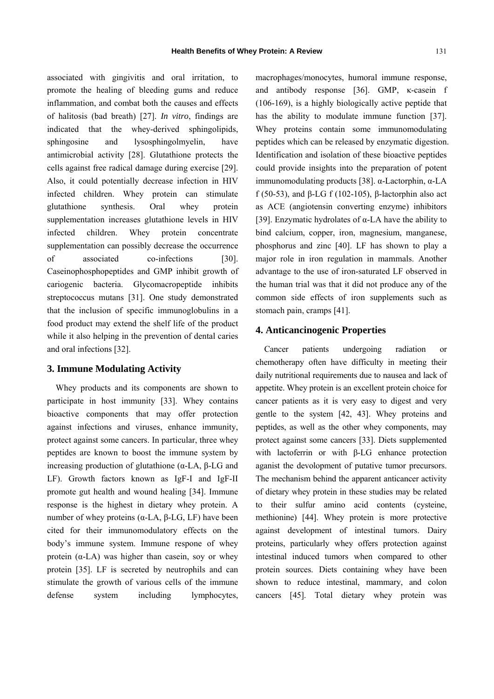associated with gingivitis and oral irritation, to promote the healing of bleeding gums and reduce inflammation, and combat both the causes and effects of halitosis (bad breath) [27]. *In vitro*, findings are indicated that the whey-derived sphingolipids, sphingosine and lysosphingolmyelin, have antimicrobial activity [28]. Glutathione protects the cells against free radical damage during exercise [29]. Also, it could potentially decrease infection in HIV infected children. Whey protein can stimulate glutathione synthesis. Oral whey protein supplementation increases glutathione levels in HIV infected children. Whey protein concentrate supplementation can possibly decrease the occurrence of associated co-infections [30]. Caseinophosphopeptides and GMP inhibit growth of cariogenic bacteria. Glycomacropeptide inhibits streptococcus mutans [31]. One study demonstrated that the inclusion of specific immunoglobulins in a food product may extend the shelf life of the product while it also helping in the prevention of dental caries and oral infections [32].

# **3. Immune Modulating Activity**

Whey products and its components are shown to participate in host immunity [33]. Whey contains bioactive components that may offer protection against infections and viruses, enhance immunity, protect against some cancers. In particular, three whey peptides are known to boost the immune system by increasing production of glutathione (α-LA, β-LG and LF). Growth factors known as IgF-I and IgF-II promote gut health and wound healing [34]. Immune response is the highest in dietary whey protein. A number of whey proteins ( $α$ -LA,  $β$ -LG, LF) have been cited for their immunomodulatory effects on the body's immune system. Immune respone of whey protein  $(\alpha$ -LA) was higher than casein, soy or whey protein [35]. LF is secreted by neutrophils and can stimulate the growth of various cells of the immune defense system including lymphocytes, macrophages/monocytes, humoral immune response, and antibody response [36]. GMP, κ-casein f (106-169), is a highly biologically active peptide that has the ability to modulate immune function [37]. Whey proteins contain some immunomodulating peptides which can be released by enzymatic digestion. Identification and isolation of these bioactive peptides could provide insights into the preparation of potent immunomodulating products [38]. α-Lactorphin, α-LA f (50-53), and  $\beta$ -LG f (102-105),  $\beta$ -lactorphin also act as ACE (angiotensin converting enzyme) inhibitors [39]. Enzymatic hydrolates of  $\alpha$ -LA have the ability to bind calcium, copper, iron, magnesium, manganese, phosphorus and zinc [40]. LF has shown to play a major role in iron regulation in mammals. Another advantage to the use of iron-saturated LF observed in the human trial was that it did not produce any of the common side effects of iron supplements such as stomach pain, cramps [41].

# **4. Anticancinogenic Properties**

Cancer patients undergoing radiation or chemotherapy often have difficulty in meeting their daily nutritional requirements due to nausea and lack of appetite. Whey protein is an excellent protein choice for cancer patients as it is very easy to digest and very gentle to the system [42, 43]. Whey proteins and peptides, as well as the other whey components, may protect against some cancers [33]. Diets supplemented with lactoferrin or with β-LG enhance protection aganist the devolopment of putative tumor precursors. The mechanism behind the apparent anticancer activity of dietary whey protein in these studies may be related to their sulfur amino acid contents (cysteine, methionine) [44]. Whey protein is more protective against development of intestinal tumors. Dairy proteins, particularly whey offers protection against intestinal induced tumors when compared to other protein sources. Diets containing whey have been shown to reduce intestinal, mammary, and colon cancers [45]. Total dietary whey protein was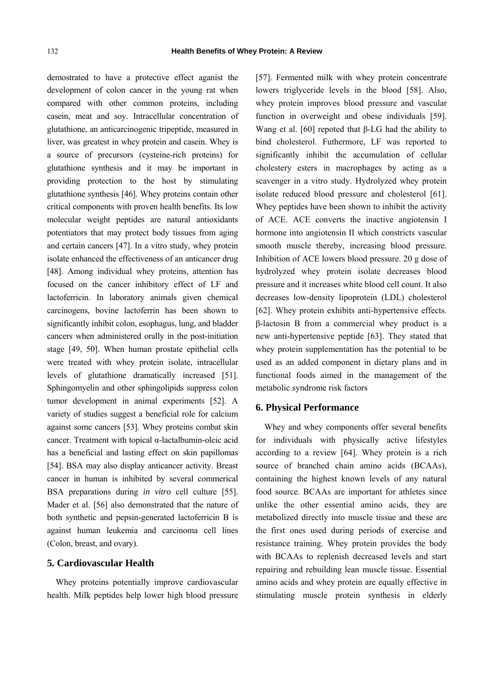demostrated to have a protective effect aganist the development of colon cancer in the young rat when compared with other common proteins, including casein, meat and soy. Intracellular concentration of glutathione, an anticarcinogenic tripeptide, measured in liver, was greatest in whey protein and casein. Whey is a source of precursors (cysteine-rich proteins) for glutathione synthesis and it may be important in providing protection to the host by stimulating glutathione synthesis [46]. Whey proteins contain other critical components with proven health benefits. Its low molecular weight peptides are natural antioxidants potentiators that may protect body tissues from aging and certain cancers [47]. In a vitro study, whey protein isolate enhanced the effectiveness of an anticancer drug [48]. Among individual whey proteins, attention has focused on the cancer inhibitory effect of LF and lactoferricin. In laboratory animals given chemical carcinogens, bovine lactoferrin has been shown to significantly inhibit colon, esophagus, lung, and bladder cancers when administered orally in the post-initiation stage [49, 50]. When human prostate epithelial cells were treated with whey protein isolate, intracellular levels of glutathione dramatically increased [51]. Sphingomyelin and other sphingolipids suppress colon tumor development in animal experiments [52]. A variety of studies suggest a beneficial role for calcium against some cancers [53]. Whey proteins combat skin cancer. Treatment with topical α-lactalbumin-oleic acid has a beneficial and lasting effect on skin papillomas [54]. BSA may also display anticancer activity. Breast cancer in human is inhibited by several commerical BSA preparations during *in vitro* cell culture [55]. Mader et al. [56] also demonstrated that the nature of both synthetic and pepsin-generated lactoferricin B is against human leukemia and carcinoma cell lines (Colon, breast, and ovary).

# **5. Cardiovascular Health**

Whey proteins potentially improve cardiovascular health. Milk peptides help lower high blood pressure [57]. Fermented milk with whey protein concentrate lowers triglyceride levels in the blood [58]. Also, whey protein improves blood pressure and vascular function in overweight and obese individuals [59]. Wang et al. [60] repoted that β-LG had the ability to bind cholesterol. Futhermore, LF was reported to significantly inhibit the accumulation of cellular cholestery esters in macrophages by acting as a scavenger in a vitro study. Hydrolyzed whey protein isolate reduced blood pressure and cholesterol [61]. Whey peptides have been shown to inhibit the activity of ACE. ACE converts the inactive angiotensin I hormone into angiotensin II which constricts vascular smooth muscle thereby, increasing blood pressure. Inhibition of ACE lowers blood pressure. 20 g dose of hydrolyzed whey protein isolate decreases blood pressure and it increases white blood cell count. It also decreases low-density lipoprotein (LDL) cholesterol [62]. Whey protein exhibits anti-hypertensive effects. β-lactosin B from a commercial whey product is a new anti-hypertensive peptide [63]. They stated that whey protein supplementation has the potential to be used as an added component in dietary plans and in functional foods aimed in the management of the metabolic syndrome risk factors

#### **6. Physical Performance**

Whey and whey components offer several benefits for individuals with physically active lifestyles according to a review [64]. Whey protein is a rich source of branched chain amino acids (BCAAs), containing the highest known levels of any natural food source. BCAAs are important for athletes since unlike the other essential amino acids, they are metabolized directly into muscle tissue and these are the first ones used during periods of exercise and resistance training. Whey protein provides the body with BCAAs to replenish decreased levels and start repairing and rebuilding lean muscle tissue. Essential amino acids and whey protein are equally effective in stimulating muscle protein synthesis in elderly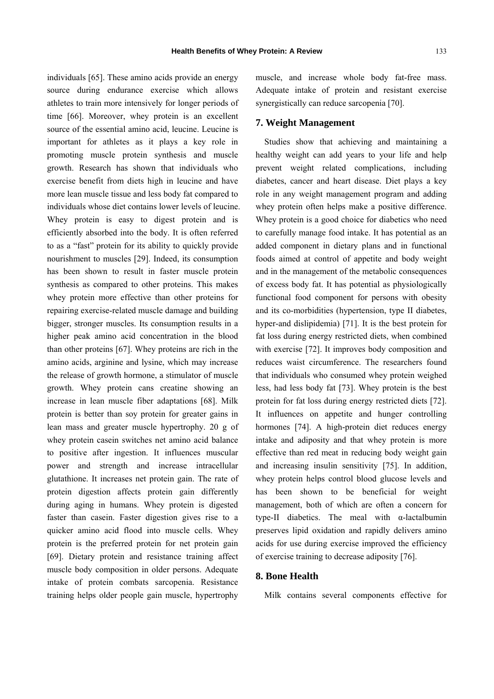individuals [65]. These amino acids provide an energy source during endurance exercise which allows athletes to train more intensively for longer periods of time [66]. Moreover, whey protein is an excellent source of the essential amino acid, leucine. Leucine is important for athletes as it plays a key role in promoting muscle protein synthesis and muscle growth. Research has shown that individuals who exercise benefit from diets high in leucine and have more lean muscle tissue and less body fat compared to individuals whose diet contains lower levels of leucine. Whey protein is easy to digest protein and is efficiently absorbed into the body. It is often referred to as a "fast" protein for its ability to quickly provide nourishment to muscles [29]. Indeed, its consumption has been shown to result in faster muscle protein synthesis as compared to other proteins. This makes whey protein more effective than other proteins for repairing exercise-related muscle damage and building bigger, stronger muscles. Its consumption results in a higher peak amino acid concentration in the blood than other proteins [67]. Whey proteins are rich in the amino acids, arginine and lysine, which may increase the release of growth hormone, a stimulator of muscle growth. Whey protein cans creatine showing an increase in lean muscle fiber adaptations [68]. Milk protein is better than soy protein for greater gains in lean mass and greater muscle hypertrophy. 20 g of whey protein casein switches net amino acid balance to positive after ingestion. It influences muscular power and strength and increase intracellular glutathione. It increases net protein gain. The rate of protein digestion affects protein gain differently during aging in humans. Whey protein is digested faster than casein. Faster digestion gives rise to a quicker amino acid flood into muscle cells. Whey protein is the preferred protein for net protein gain [69]. Dietary protein and resistance training affect muscle body composition in older persons. Adequate intake of protein combats sarcopenia. Resistance training helps older people gain muscle, hypertrophy

muscle, and increase whole body fat-free mass. Adequate intake of protein and resistant exercise synergistically can reduce sarcopenia [70].

# **7. Weight Management**

Studies show that achieving and maintaining a healthy weight can add years to your life and help prevent weight related complications, including diabetes, cancer and heart disease. Diet plays a key role in any weight management program and adding whey protein often helps make a positive difference. Whey protein is a good choice for diabetics who need to carefully manage food intake. It has potential as an added component in dietary plans and in functional foods aimed at control of appetite and body weight and in the management of the metabolic consequences of excess body fat. It has potential as physiologically functional food component for persons with obesity and its co-morbidities (hypertension, type II diabetes, hyper-and dislipidemia) [71]. It is the best protein for fat loss during energy restricted diets, when combined with exercise [72]. It improves body composition and reduces waist circumference. The researchers found that individuals who consumed whey protein weighed less, had less body fat [73]. Whey protein is the best protein for fat loss during energy restricted diets [72]. It influences on appetite and hunger controlling hormones [74]. A high-protein diet reduces energy intake and adiposity and that whey protein is more effective than red meat in reducing body weight gain and increasing insulin sensitivity [75]. In addition, whey protein helps control blood glucose levels and has been shown to be beneficial for weight management, both of which are often a concern for type-II diabetics. The meal with α-lactalbumin preserves lipid oxidation and rapidly delivers amino acids for use during exercise improved the efficiency of exercise training to decrease adiposity [76].

## **8. Bone Health**

Milk contains several components effective for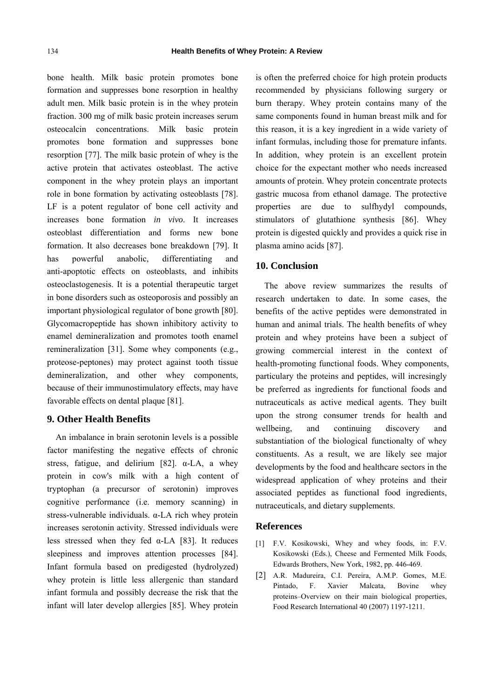bone health. Milk basic protein promotes bone formation and suppresses bone resorption in healthy adult men. Milk basic protein is in the whey protein fraction. 300 mg of milk basic protein increases serum osteocalcin concentrations. Milk basic protein promotes bone formation and suppresses bone resorption [77]. The milk basic protein of whey is the active protein that activates osteoblast. The active component in the whey protein plays an important role in bone formation by activating osteoblasts [78]. LF is a potent regulator of bone cell activity and increases bone formation *in vivo*. It increases osteoblast differentiation and forms new bone formation. It also decreases bone breakdown [79]. It has powerful anabolic, differentiating anti-apoptotic effects on osteoblasts, and inhibits osteoclastogenesis. It is a potential therapeutic target in bone disorders such as osteoporosis and possibly an important physiological regulator of bone growth [80]. Glycomacropeptide has shown inhibitory activity to enamel demineralization and promotes tooth enamel remineralization [31]. Some whey components (e.g., proteose-peptones) may protect against tooth tissue demineralization, and other whey components, because of their immunostimulatory effects, may have favorable effects on dental plaque [81].

### **9. Other Health Benefits**

An imbalance in brain serotonin levels is a possible factor manifesting the negative effects of chronic stress, fatigue, and delirium [82].  $\alpha$ -LA, a whey protein in cow's milk with a high content of tryptophan (a precursor of serotonin) improves cognitive performance (i.e. memory scanning) in stress-vulnerable individuals. α-LA rich whey protein increases serotonin activity. Stressed individuals were less stressed when they fed  $\alpha$ -LA [83]. It reduces sleepiness and improves attention processes [84]. Infant formula based on predigested (hydrolyzed) whey protein is little less allergenic than standard infant formula and possibly decrease the risk that the infant will later develop allergies [85]. Whey protein

is often the preferred choice for high protein products recommended by physicians following surgery or burn therapy. Whey protein contains many of the same components found in human breast milk and for this reason, it is a key ingredient in a wide variety of infant formulas, including those for premature infants. In addition, whey protein is an excellent protein choice for the expectant mother who needs increased amounts of protein. Whey protein concentrate protects gastric mucosa from ethanol damage. The protective properties are due to sulfhydyl compounds, stimulators of glutathione synthesis [86]. Whey protein is digested quickly and provides a quick rise in plasma amino acids [87].

#### **10. Conclusion**

The above review summarizes the results of research undertaken to date. In some cases, the benefits of the active peptides were demonstrated in human and animal trials. The health benefits of whey protein and whey proteins have been a subject of growing commercial interest in the context of health-promoting functional foods. Whey components, particulary the proteins and peptides, will incresingly be preferred as ingredients for functional foods and nutraceuticals as active medical agents. They built upon the strong consumer trends for health and wellbeing, and continuing discovery and substantiation of the biological functionalty of whey constituents. As a result, we are likely see major developments by the food and healthcare sectors in the widespread application of whey proteins and their associated peptides as functional food ingredients, nutraceuticals, and dietary supplements.

#### **References**

- [1] F.V. Kosikowski, Whey and whey foods, in: F.V. Kosikowski (Eds.), Cheese and Fermented Milk Foods, Edwards Brothers, New York, 1982, pp. 446-469.
- [2] A.R. Madureira, C.I. Pereira, A.M.P. Gomes, M.E. Pintado, F. Xavier Malcata, Bovine whey proteins–Overview on their main biological properties, Food Research International 40 (2007) 1197-1211.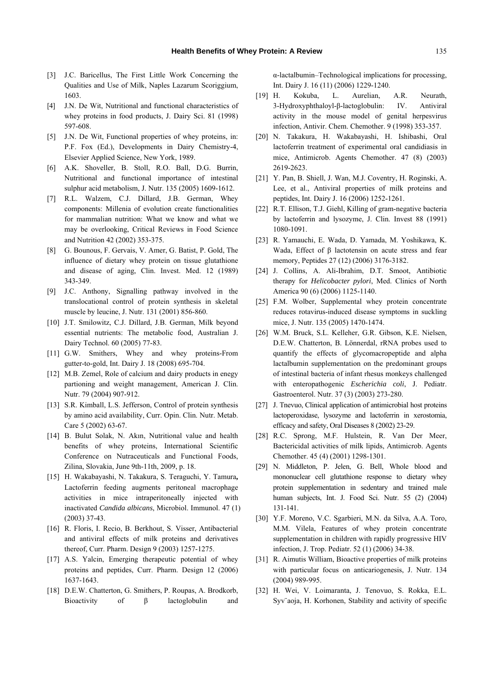- [3] J.C. Baricellus, The First Little Work Concerning the Qualities and Use of Milk, Naples Lazarum Scoriggium, 1603.
- [4] J.N. De Wit, Nutritional and functional characteristics of whey proteins in food products, J. Dairy Sci. 81 (1998) 597-608.
- [5] J.N. De Wit, Functional properties of whey proteins, in: P.F. Fox (Ed.), Developments in Dairy Chemistry-4, Elsevier Applied Science, New York, 1989.
- [6] A.K. Shoveller, B. Stoll, R.O. Ball, D.G. Burrin, Nutritional and functional importance of intestinal sulphur acid metabolism, J. Nutr. 135 (2005) 1609-1612.
- [7] R.L. Walzem, C.J. Dillard, J.B. German, Whey components: Millenia of evolution create functionalities for mammalian nutrition: What we know and what we may be overlooking, Critical Reviews in Food Science and Nutrition 42 (2002) 353-375.
- [8] G. Bounous, F. Gervais, V. Amer, G. Batist, P. Gold, The influence of dietary whey protein on tissue glutathione and disease of aging, Clin. Invest. Med. 12 (1989) 343-349.
- [9] J.C. Anthony, Signalling pathway involved in the translocational control of protein synthesis in skeletal muscle by leucine, J. Nutr. 131 (2001) 856-860.
- [10] J.T. Smilowitz, C.J. Dillard, J.B. German, Milk beyond essential nutrients: The metabolic food, Australian J. Dairy Technol. 60 (2005) 77-83.
- [11] G.W. Smithers, Whey and whey proteins-From gutter-to-gold, Int. Dairy J. 18 (2008) 695-704.
- [12] M.B. Zemel, Role of calcium and dairy products in enegy partioning and weight management, American J. Clin. Nutr. 79 (2004) 907-912.
- [13] S.R. Kimball, L.S. Jefferson, Control of protein synthesis by amino acid availability, Curr. Opin. Clin. Nutr. Metab. Care 5 (2002) 63-67.
- [14] B. Bulut Solak, N. Akın, Nutritional value and health benefits of whey proteins, International Scientific Conference on Nutraceuticals and Functional Foods, Zilina, Slovakia, June 9th-11th, 2009, p. 18.
- [15] H. Wakabayashi, N. Takakura, S. Teraguchi, Y. Tamura**,**  Lactoferrin feeding augments peritoneal macrophage activities in mice intraperitoneally injected with inactivated *Candida albicans*, Microbiol. Immunol. 47 (1) (2003) 37-43.
- [16] R. Floris, I. Recio, B. Berkhout, S. Visser, Antibacterial and antiviral effects of milk proteins and derivatives thereof, Curr. Pharm. Design 9 (2003) 1257-1275.
- [17] A.S. Yalcin, Emerging therapeutic potential of whey proteins and peptides, Curr. Pharm. Design 12 (2006) 1637-1643.
- [18] D.E.W. Chatterton, G. Smithers, P. Roupas, A. Brodkorb, Bioactivity of β lactoglobulin and

α-lactalbumin–Technological implications for processing, Int. Dairy J. 16 (11) (2006) 1229-1240.

- [19] H. Kokuba, L. Aurelian, A.R. Neurath, 3-Hydroxyphthaloyl-β-lactoglobulin: IV. Antiviral activity in the mouse model of genital herpesvirus infection, Antivir. Chem. Chemother. 9 (1998) 353-357.
- [20] N. Takakura, H. Wakabayashi, H. Ishibashi, Oral lactoferrin treatment of experimental oral candidiasis in mice, Antimicrob. Agents Chemother. 47 (8) (2003) 2619-2623.
- [21] Y. Pan, B. Shiell, J. Wan, M.J. Coventry, H. Roginski, A. Lee, et al., Antiviral properties of milk proteins and peptides, Int. Dairy J. 16 (2006) 1252-1261.
- [22] R.T. Ellison, T.J. Giehl, Killing of gram-negative bacteria by lactoferrin and lysozyme, J. Clin. Invest 88 (1991) 1080-1091.
- [23] R. Yamauchi, E. Wada, D. Yamada, M. Yoshikawa, K. Wada, Effect of β lactotensin on acute stress and fear memory, Peptides 27 (12) (2006) 3176-3182.
- [24] J. Collins, A. Ali-Ibrahim, D.T. Smoot, Antibiotic therapy for *Helicobacter pylori*, Med. Clinics of North America 90 (6) (2006) 1125-1140.
- [25] F.M. Wolber, Supplemental whey protein concentrate reduces rotavirus-induced disease symptoms in suckling mice, J. Nutr. 135 (2005) 1470-1474.
- [26] W.M. Bruck, S.L. Kelleher, G.R. Gibson, K.E. Nielsen, D.E.W. Chatterton, B. Lönnerdal, rRNA probes used to quantify the effects of glycomacropeptide and alpha lactalbumin supplementation on the predominant groups of intestinal bacteria of infant rhesus monkeys challenged with enteropathogenic *Escherichia coli*, J. Pediatr. Gastroenterol. Nutr. 37 (3) (2003) 273-280.
- [27] J. Tnevuo, Clinical application of antimicrobial host proteins lactoperoxidase, lysozyme and lactoferrin in xerostomia, efficacy and safety, Oral Diseases 8 (2002) 23-29.
- [28] R.C. Sprong, M.F. Hulstein, R. Van Der Meer, Bactericidal activities of milk lipids, Antimicrob. Agents Chemother. 45 (4) (2001) 1298-1301.
- [29] N. Middleton, P. Jelen, G. Bell, Whole blood and mononuclear cell glutathione response to dietary whey protein supplementation in sedentary and trained male human subjects, Int. J. Food Sci. Nutr. 55 (2) (2004) 131-141.
- [30] Y.F. Moreno, V.C. Sgarbieri, M.N. da Silva, A.A. Toro, M.M. Vilela, Features of whey protein concentrate supplementation in children with rapidly progressive HIV infection, J. Trop. Pediatr. 52 (1) (2006) 34-38.
- [31] R. Aimutis William, Bioactive properties of milk proteins with particular focus on anticariogenesis, J. Nutr. 134 (2004) 989-995.
- [32] H. Wei, V. Loimaranta, J. Tenovuo, S. Rokka, E.L. Syv¨aoja, H. Korhonen, Stability and activity of specific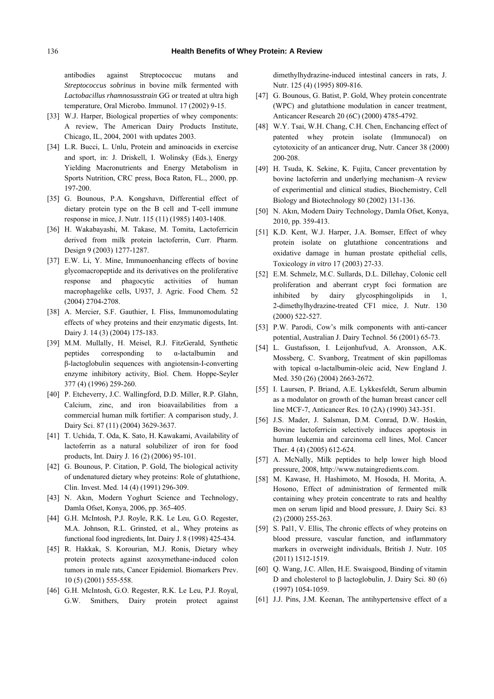antibodies against Streptococcuc mutans and *Streptococcus sobrinus* in bovine milk fermented with *Lactobacillus rhamnosusstrain* GG or treated at ultra high temperature, Oral Microbo. Immunol. 17 (2002) 9-15.

- [33] W.J. Harper, Biological properties of whey components: A review, The American Dairy Products Institute, Chicago, IL, 2004, 2001 with updates 2003.
- [34] L.R. Bucci, L. Unlu, Protein and aminoacids in exercise and sport, in: J. Driskell, I. Wolinsky (Eds.), Energy Yielding Macronutrients and Energy Metabolism in Sports Nutrition, CRC press, Boca Raton, FL., 2000, pp. 197-200.
- [35] G. Bounous, P.A. Kongshavn, Differential effect of dietary protein type on the B cell and T-cell immune response in mice, J. Nutr. 115 (11) (1985) 1403-1408.
- [36] H. Wakabayashi, M. Takase, M. Tomita, Lactoferricin derived from milk protein lactoferrin, Curr. Pharm. Design 9 (2003) 1277-1287.
- [37] E.W. Li, Y. Mine, Immunoenhancing effects of bovine glycomacropeptide and its derivatives on the proliferative response and phagocytic activities of human macrophagelike cells, U937, J. Agric. Food Chem*.* 52 (2004) 2704-2708.
- [38] A. Mercier, S.F. Gauthier, I. Fliss, Immunomodulating effects of whey proteins and their enzymatic digests, Int. Dairy J. 14 (3) (2004) 175-183.
- [39] M.M. Mullally, H. Meisel, R.J. FitzGerald, Synthetic peptides corresponding to  $\alpha$ -lactalbumin and β-lactoglobulin sequences with angiotensin-I-converting enzyme inhibitory activity, Biol. Chem. Hoppe-Seyler 377 (4) (1996) 259-260.
- [40] P. Etcheverry, J.C. Wallingford, D.D. Miller, R.P. Glahn, Calcium, zinc, and iron bioavailabilities from a commercial human milk fortifier: A comparison study, J. Dairy Sci. 87 (11) (2004) 3629-3637.
- [41] T. Uchida, T. Oda, K. Sato, H. Kawakami, Availability of lactoferrin as a natural solubilizer of iron for food products, Int. Dairy J. 16 (2) (2006) 95-101.
- [42] G. Bounous, P. Citation, P. Gold, The biological activity of undenatured dietary whey proteins: Role of glutathione, Clin. Invest. Med. 14 (4) (1991) 296-309.
- [43] N. Akın, Modern Yoghurt Science and Technology, Damla Ofset, Konya, 2006, pp. 365-405.
- [44] G.H. McIntosh, P.J. Royle, R.K. Le Leu, G.O. Regester, M.A. Johnson, R.L. Grinsted, et al., Whey proteins as functional food ingredients, Int. Dairy J. 8 (1998) 425-434.
- [45] R. Hakkak, S. Korourian, M.J. Ronis, Dietary whey protein protects against azoxymethane-induced colon tumors in male rats, Cancer Epidemiol. Biomarkers Prev. 10 (5) (2001) 555-558.
- [46] G.H. McIntosh, G.O. Regester, R.K. Le Leu, P.J. Royal, G.W. Smithers, Dairy protein protect against

dimethylhydrazine-induced intestinal cancers in rats, J. Nutr. 125 (4) (1995) 809-816.

- [47] G. Bounous, G. Batist, P. Gold, Whey protein concentrate (WPC) and glutathione modulation in cancer treatment, Anticancer Research 20 (6C) (2000) 4785-4792.
- [48] W.Y. Tsai, W.H. Chang, C.H. Chen, Enchancing effect of patented whey protein isolate (Immunocal) on cytotoxicity of an anticancer drug, Nutr. Cancer 38 (2000) 200-208.
- [49] H. Tsuda, K. Sekine, K. Fujita, Cancer preventation by bovine lactoferrin and underlying mechanism–A review of experimential and clinical studies, Biochemistry, Cell Biology and Biotechnology 80 (2002) 131-136.
- [50] N. Akın, Modern Dairy Technology, Damla Ofset, Konya, 2010, pp. 359-413.
- [51] K.D. Kent, W.J. Harper, J.A. Bomser, Effect of whey protein isolate on glutathione concentrations and oxidative damage in human prostate epithelial cells, Toxicology *in vitro* 17 (2003) 27-33.
- [52] E.M. Schmelz, M.C. Sullards, D.L. Dillehay, Colonic cell proliferation and aberrant crypt foci formation are inhibited by dairy glycosphingolipids in 1, 2-dimethylhydrazine-treated CF1 mice, J. Nutr. 130 (2000) 522-527.
- [53] P.W. Parodi, Cow's milk components with anti-cancer potential, Australian J. Dairy Technol. 56 (2001) 65-73.
- [54] L. Gustafsson, I. Leijonhufvud, A. Aronsson, A.K. Mossberg, C. Svanborg, Treatment of skin papillomas with topical α-lactalbumin-oleic acid, New England J. Med. 350 (26) (2004) 2663-2672.
- [55] I. Laursen, P. Briand, A.E. Lykkesfeldt, Serum albumin as a modulator on growth of the human breast cancer cell line MCF-7, Anticancer Res. 10 (2A) (1990) 343-351.
- [56] J.S. Mader, J. Salsman, D.M. Conrad, D.W. Hoskin, Bovine lactoferricin selectively induces apoptosis in human leukemia and carcinoma cell lines, Mol. Cancer Ther. 4 (4) (2005) 612-624.
- [57] A. McNally, Milk peptides to help lower high blood pressure, 2008, http://www.nutaingredients.com.
- [58] M. Kawase, H. Hashimoto, M. Hosoda, H. Morita, A. Hosono, Effect of administration of fermented milk containing whey protein concentrate to rats and healthy men on serum lipid and blood pressure, J. Dairy Sci. 83 (2) (2000) 255-263.
- [59] S. Pal1, V. Ellis, The chronic effects of whey proteins on blood pressure, vascular function, and inflammatory markers in overweight individuals, British J. Nutr. 105 (2011) 1512-1519.
- [60] O. Wang, J.C. Allen, H.E. Swaisgood, Binding of vitamin D and cholesterol to β lactoglobulin, J. Dairy Sci. 80 (6) (1997) 1054-1059.
- [61] J.J. Pins, J.M. Keenan, The antihypertensive effect of a